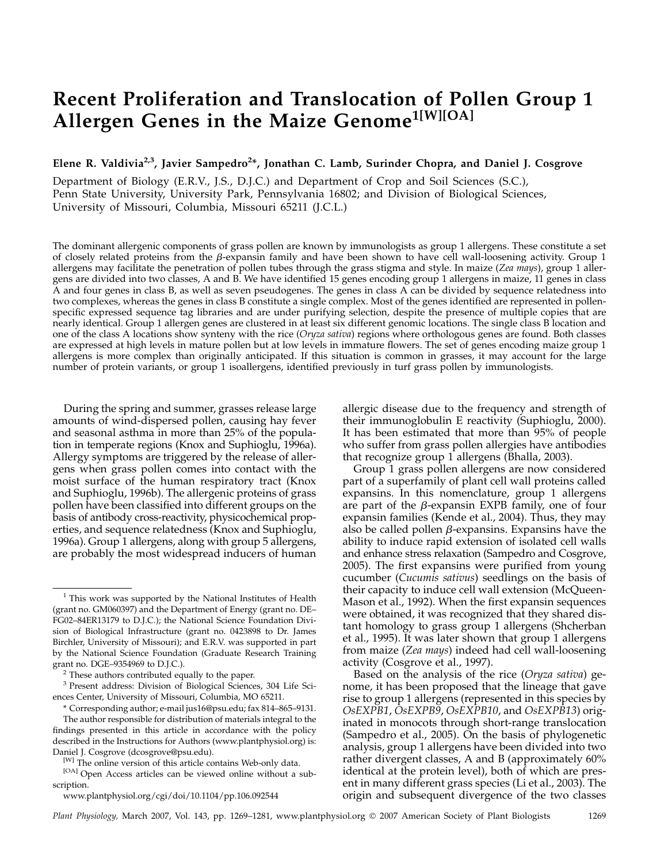# Recent Proliferation and Translocation of Pollen Group 1 Allergen Genes in the Maize Genome<sup>1[W][OA]</sup>

Elene R. Valdivia<sup>2,3</sup>, Javier Sampedro<sup>2\*</sup>, Jonathan C. Lamb, Surinder Chopra, and Daniel J. Cosgrove

Department of Biology (E.R.V., J.S., D.J.C.) and Department of Crop and Soil Sciences (S.C.), Penn State University, University Park, Pennsylvania 16802; and Division of Biological Sciences, University of Missouri, Columbia, Missouri 65211 (J.C.L.)

The dominant allergenic components of grass pollen are known by immunologists as group 1 allergens. These constitute a set of closely related proteins from the  $\beta$ -expansin family and have been shown to have cell wall-loosening activity. Group 1 allergens may facilitate the penetration of pollen tubes through the grass stigma and style. In maize (Zea mays), group 1 allergens are divided into two classes, A and B. We have identified 15 genes encoding group 1 allergens in maize, 11 genes in class A and four genes in class B, as well as seven pseudogenes. The genes in class A can be divided by sequence relatedness into two complexes, whereas the genes in class B constitute a single complex. Most of the genes identified are represented in pollenspecific expressed sequence tag libraries and are under purifying selection, despite the presence of multiple copies that are nearly identical. Group 1 allergen genes are clustered in at least six different genomic locations. The single class B location and one of the class A locations show synteny with the rice (Oryza sativa) regions where orthologous genes are found. Both classes are expressed at high levels in mature pollen but at low levels in immature flowers. The set of genes encoding maize group 1 allergens is more complex than originally anticipated. If this situation is common in grasses, it may account for the large number of protein variants, or group 1 isoallergens, identified previously in turf grass pollen by immunologists.

During the spring and summer, grasses release large amounts of wind-dispersed pollen, causing hay fever and seasonal asthma in more than 25% of the population in temperate regions (Knox and Suphioglu, 1996a). Allergy symptoms are triggered by the release of allergens when grass pollen comes into contact with the moist surface of the human respiratory tract (Knox and Suphioglu, 1996b). The allergenic proteins of grass pollen have been classified into different groups on the basis of antibody cross-reactivity, physicochemical properties, and sequence relatedness (Knox and Suphioglu, 1996a). Group 1 allergens, along with group 5 allergens, are probably the most widespread inducers of human allergic disease due to the frequency and strength of their immunoglobulin E reactivity (Suphioglu, 2000). It has been estimated that more than 95% of people who suffer from grass pollen allergies have antibodies that recognize group 1 allergens (Bhalla, 2003).

Group 1 grass pollen allergens are now considered part of a superfamily of plant cell wall proteins called expansins. In this nomenclature, group 1 allergens are part of the  $\beta$ -expansin EXPB family, one of four expansin families (Kende et al., 2004). Thus, they may also be called pollen  $\beta$ -expansins. Expansins have the ability to induce rapid extension of isolated cell walls and enhance stress relaxation (Sampedro and Cosgrove, 2005). The first expansins were purified from young cucumber (Cucumis sativus) seedlings on the basis of their capacity to induce cell wall extension (McQueen-Mason et al., 1992). When the first expansin sequences were obtained, it was recognized that they shared distant homology to grass group 1 allergens (Shcherban et al., 1995). It was later shown that group 1 allergens from maize (Zea mays) indeed had cell wall-loosening activity (Cosgrove et al., 1997).

Based on the analysis of the rice (Oryza sativa) genome, it has been proposed that the lineage that gave rise to group 1 allergens (represented in this species by OsEXPB1, OsEXPB9, OsEXPB10, and OsEXPB13) originated in monocots through short-range translocation (Sampedro et al., 2005). On the basis of phylogenetic analysis, group 1 allergens have been divided into two rather divergent classes, A and B (approximately 60% identical at the protein level), both of which are present in many different grass species (Li et al., 2003). The origin and subsequent divergence of the two classes

 $1$  This work was supported by the National Institutes of Health (grant no. GM060397) and the Department of Energy (grant no. DE– FG02–84ER13179 to D.J.C.); the National Science Foundation Division of Biological Infrastructure (grant no. 0423898 to Dr. James Birchler, University of Missouri); and E.R.V. was supported in part by the National Science Foundation (Graduate Research Training

 $2$  These authors contributed equally to the paper.

<sup>3</sup> Present address: Division of Biological Sciences, 304 Life Sciences Center, University of Missouri, Columbia, MO 65211.

<sup>\*</sup> Corresponding author; e-mail jus16@psu.edu; fax 814–865–9131. The author responsible for distribution of materials integral to the findings presented in this article in accordance with the policy described in the Instructions for Authors (www.plantphysiol.org) is: Daniel J. Cosgrove (dcosgrove@psu.edu).

<sup>[</sup>W] The online version of this article contains Web-only data.

<sup>[</sup>OA] Open Access articles can be viewed online without a subscription.

www.plantphysiol.org/cgi/doi/10.1104/pp.106.092544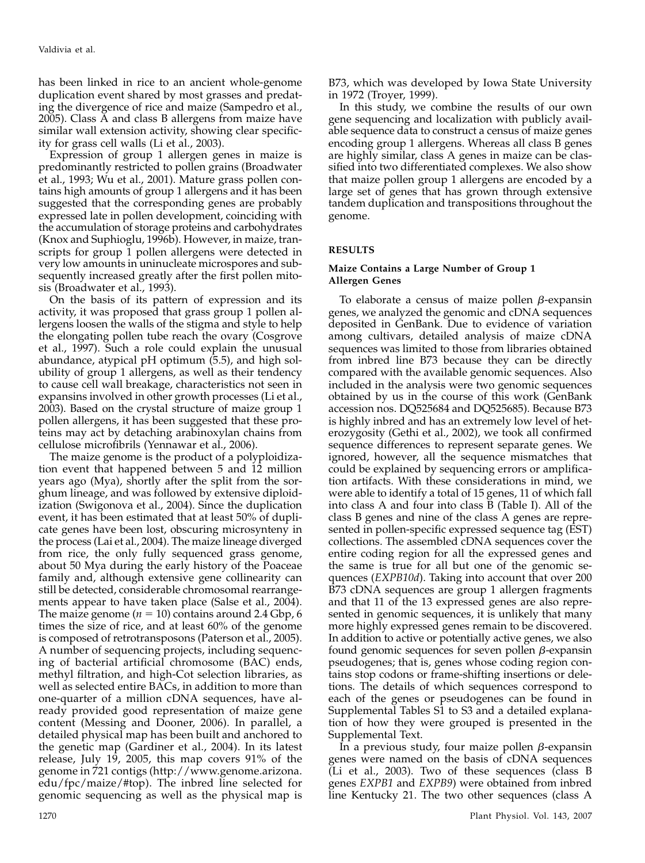has been linked in rice to an ancient whole-genome duplication event shared by most grasses and predating the divergence of rice and maize (Sampedro et al., 2005). Class A and class B allergens from maize have similar wall extension activity, showing clear specificity for grass cell walls (Li et al., 2003).

Expression of group 1 allergen genes in maize is predominantly restricted to pollen grains (Broadwater et al., 1993; Wu et al., 2001). Mature grass pollen contains high amounts of group 1 allergens and it has been suggested that the corresponding genes are probably expressed late in pollen development, coinciding with the accumulation of storage proteins and carbohydrates (Knox and Suphioglu, 1996b). However, in maize, transcripts for group 1 pollen allergens were detected in very low amounts in uninucleate microspores and subsequently increased greatly after the first pollen mitosis (Broadwater et al., 1993).

On the basis of its pattern of expression and its activity, it was proposed that grass group 1 pollen allergens loosen the walls of the stigma and style to help the elongating pollen tube reach the ovary (Cosgrove et al., 1997). Such a role could explain the unusual abundance, atypical pH optimum (5.5), and high solubility of group 1 allergens, as well as their tendency to cause cell wall breakage, characteristics not seen in expansins involved in other growth processes (Li et al., 2003). Based on the crystal structure of maize group 1 pollen allergens, it has been suggested that these proteins may act by detaching arabinoxylan chains from cellulose microfibrils (Yennawar et al., 2006).

The maize genome is the product of a polyploidization event that happened between 5 and 12 million years ago (Mya), shortly after the split from the sorghum lineage, and was followed by extensive diploidization (Swigonova et al., 2004). Since the duplication event, it has been estimated that at least 50% of duplicate genes have been lost, obscuring microsynteny in the process (Lai et al., 2004). The maize lineage diverged from rice, the only fully sequenced grass genome, about 50 Mya during the early history of the Poaceae family and, although extensive gene collinearity can still be detected, considerable chromosomal rearrangements appear to have taken place (Salse et al., 2004). The maize genome ( $n = 10$ ) contains around 2.4 Gbp, 6 times the size of rice, and at least 60% of the genome is composed of retrotransposons (Paterson et al., 2005). A number of sequencing projects, including sequencing of bacterial artificial chromosome (BAC) ends, methyl filtration, and high-Cot selection libraries, as well as selected entire BACs, in addition to more than one-quarter of a million cDNA sequences, have already provided good representation of maize gene content (Messing and Dooner, 2006). In parallel, a detailed physical map has been built and anchored to the genetic map (Gardiner et al., 2004). In its latest release, July 19, 2005, this map covers 91% of the genome in 721 contigs (http://www.genome.arizona. edu/fpc/maize/#top). The inbred line selected for genomic sequencing as well as the physical map is B73, which was developed by Iowa State University in 1972 (Troyer, 1999).

In this study, we combine the results of our own gene sequencing and localization with publicly available sequence data to construct a census of maize genes encoding group 1 allergens. Whereas all class B genes are highly similar, class A genes in maize can be classified into two differentiated complexes. We also show that maize pollen group 1 allergens are encoded by a large set of genes that has grown through extensive tandem duplication and transpositions throughout the genome.

# RESULTS

# Maize Contains a Large Number of Group 1 Allergen Genes

To elaborate a census of maize pollen  $\beta$ -expansin genes, we analyzed the genomic and cDNA sequences deposited in GenBank. Due to evidence of variation among cultivars, detailed analysis of maize cDNA sequences was limited to those from libraries obtained from inbred line B73 because they can be directly compared with the available genomic sequences. Also included in the analysis were two genomic sequences obtained by us in the course of this work (GenBank accession nos. DQ525684 and DQ525685). Because B73 is highly inbred and has an extremely low level of heterozygosity (Gethi et al., 2002), we took all confirmed sequence differences to represent separate genes. We ignored, however, all the sequence mismatches that could be explained by sequencing errors or amplification artifacts. With these considerations in mind, we were able to identify a total of 15 genes, 11 of which fall into class A and four into class B (Table I). All of the class B genes and nine of the class A genes are represented in pollen-specific expressed sequence tag (EST) collections. The assembled cDNA sequences cover the entire coding region for all the expressed genes and the same is true for all but one of the genomic sequences (EXPB10d). Taking into account that over 200 B73 cDNA sequences are group 1 allergen fragments and that 11 of the 13 expressed genes are also represented in genomic sequences, it is unlikely that many more highly expressed genes remain to be discovered. In addition to active or potentially active genes, we also found genomic sequences for seven pollen  $\beta$ -expansin pseudogenes; that is, genes whose coding region contains stop codons or frame-shifting insertions or deletions. The details of which sequences correspond to each of the genes or pseudogenes can be found in Supplemental Tables S1 to S3 and a detailed explanation of how they were grouped is presented in the Supplemental Text.

In a previous study, four maize pollen  $\beta$ -expansin genes were named on the basis of cDNA sequences (Li et al., 2003). Two of these sequences (class B genes EXPB1 and EXPB9) were obtained from inbred line Kentucky 21. The two other sequences (class A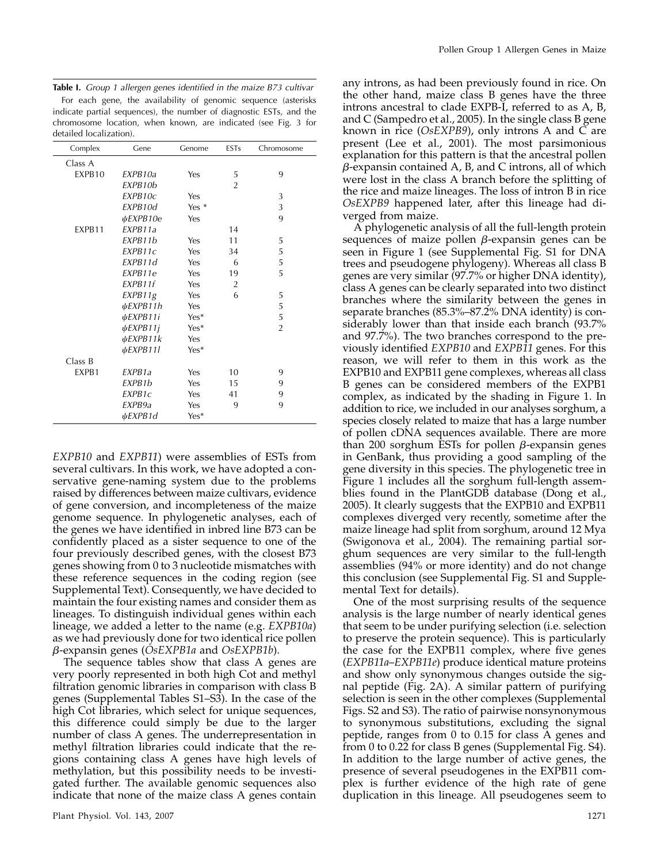|  |  |  |  | Table I. Group 1 allergen genes identified in the maize B73 cultivar |  |  |  |  |  |
|--|--|--|--|----------------------------------------------------------------------|--|--|--|--|--|
|--|--|--|--|----------------------------------------------------------------------|--|--|--|--|--|

For each gene, the availability of genomic sequence (asterisks indicate partial sequences), the number of diagnostic ESTs, and the chromosome location, when known, are indicated (see Fig. 3 for detailed localization).

| Complex | Gene                | Genome | <b>ESTs</b>    | Chromosome     |
|---------|---------------------|--------|----------------|----------------|
| Class A |                     |        |                |                |
| EXPB10  | FXPB10a             | Yes    | 5              | 9              |
|         | EXPB10b             |        | $\overline{2}$ |                |
|         | EXPB10c             | Yes    |                | 3              |
|         | EXPB10d             | Yes *  |                | 3              |
|         | ψEXPB10e            | Yes    |                | 9              |
| EXPB11  | EXPB11a             |        | 14             |                |
|         | FXPB11b             | Yes    | 11             | 5              |
|         | EXPB11c             | Yes    | 34             | 5              |
|         | EXPB11d             | Yes    | 6              | 5              |
|         | EXPB11e             | Yes    | 19             | 5              |
|         | EXPB11f             | Yes    | $\overline{2}$ |                |
|         | EXPB11g             | Yes    | 6              | 5              |
|         | ψEXPB11h            | Yes    |                | 5              |
|         | ψEXPB11i            | $Yes*$ |                | 5              |
|         | $\psi$ EXPB11j      | Yes*   |                | $\overline{2}$ |
|         | $\psi$ EXPB11 $k$   | Yes    |                |                |
|         | ψEXPB11l            | $Yes*$ |                |                |
| Class B |                     |        |                |                |
| EXPB1   | EXPB <sub>1</sub> a | Yes    | 10             | 9              |
|         | EXPB <sub>1</sub> b | Yes    | 15             | 9              |
|         | EXPB1c              | Yes    | 41             | 9              |
|         | EXPB9a              | Yes    | 9              | 9              |
|         | <i>⊎EXPB1d</i>      | Yes*   |                |                |

EXPB10 and EXPB11) were assemblies of ESTs from several cultivars. In this work, we have adopted a conservative gene-naming system due to the problems raised by differences between maize cultivars, evidence of gene conversion, and incompleteness of the maize genome sequence. In phylogenetic analyses, each of the genes we have identified in inbred line B73 can be confidently placed as a sister sequence to one of the four previously described genes, with the closest B73 genes showing from 0 to 3 nucleotide mismatches with these reference sequences in the coding region (see Supplemental Text). Consequently, we have decided to maintain the four existing names and consider them as lineages. To distinguish individual genes within each lineage, we added a letter to the name (e.g. EXPB10a) as we had previously done for two identical rice pollen  $\beta$ -expansin genes (OsEXPB1a and OsEXPB1b).

The sequence tables show that class A genes are very poorly represented in both high Cot and methyl filtration genomic libraries in comparison with class B genes (Supplemental Tables S1–S3). In the case of the high Cot libraries, which select for unique sequences, this difference could simply be due to the larger number of class A genes. The underrepresentation in methyl filtration libraries could indicate that the regions containing class A genes have high levels of methylation, but this possibility needs to be investigated further. The available genomic sequences also indicate that none of the maize class A genes contain

any introns, as had been previously found in rice. On the other hand, maize class B genes have the three introns ancestral to clade EXPB-I, referred to as A, B, and C (Sampedro et al., 2005). In the single class B gene known in rice (OsEXPB9), only introns A and C are present (Lee et al., 2001). The most parsimonious explanation for this pattern is that the ancestral pollen  $\beta$ -expansin contained A, B, and C introns, all of which were lost in the class A branch before the splitting of the rice and maize lineages. The loss of intron B in rice OsEXPB9 happened later, after this lineage had diverged from maize.

A phylogenetic analysis of all the full-length protein sequences of maize pollen  $\beta$ -expansin genes can be seen in Figure 1 (see Supplemental Fig. S1 for DNA trees and pseudogene phylogeny). Whereas all class B genes are very similar (97.7% or higher DNA identity), class A genes can be clearly separated into two distinct branches where the similarity between the genes in separate branches (85.3%–87.2% DNA identity) is considerably lower than that inside each branch (93.7% and 97.7%). The two branches correspond to the previously identified EXPB10 and EXPB11 genes. For this reason, we will refer to them in this work as the EXPB10 and EXPB11 gene complexes, whereas all class B genes can be considered members of the EXPB1 complex, as indicated by the shading in Figure 1. In addition to rice, we included in our analyses sorghum, a species closely related to maize that has a large number of pollen cDNA sequences available. There are more than 200 sorghum ESTs for pollen  $\beta$ -expansin genes in GenBank, thus providing a good sampling of the gene diversity in this species. The phylogenetic tree in Figure 1 includes all the sorghum full-length assemblies found in the PlantGDB database (Dong et al., 2005). It clearly suggests that the EXPB10 and EXPB11 complexes diverged very recently, sometime after the maize lineage had split from sorghum, around 12 Mya (Swigonova et al., 2004). The remaining partial sorghum sequences are very similar to the full-length assemblies (94% or more identity) and do not change this conclusion (see Supplemental Fig. S1 and Supplemental Text for details).

One of the most surprising results of the sequence analysis is the large number of nearly identical genes that seem to be under purifying selection (i.e. selection to preserve the protein sequence). This is particularly the case for the EXPB11 complex, where five genes (EXPB11a–EXPB11e) produce identical mature proteins and show only synonymous changes outside the signal peptide (Fig. 2A). A similar pattern of purifying selection is seen in the other complexes (Supplemental Figs. S2 and S3). The ratio of pairwise nonsynonymous to synonymous substitutions, excluding the signal peptide, ranges from 0 to 0.15 for class A genes and from 0 to 0.22 for class B genes (Supplemental Fig. S4). In addition to the large number of active genes, the presence of several pseudogenes in the EXPB11 complex is further evidence of the high rate of gene duplication in this lineage. All pseudogenes seem to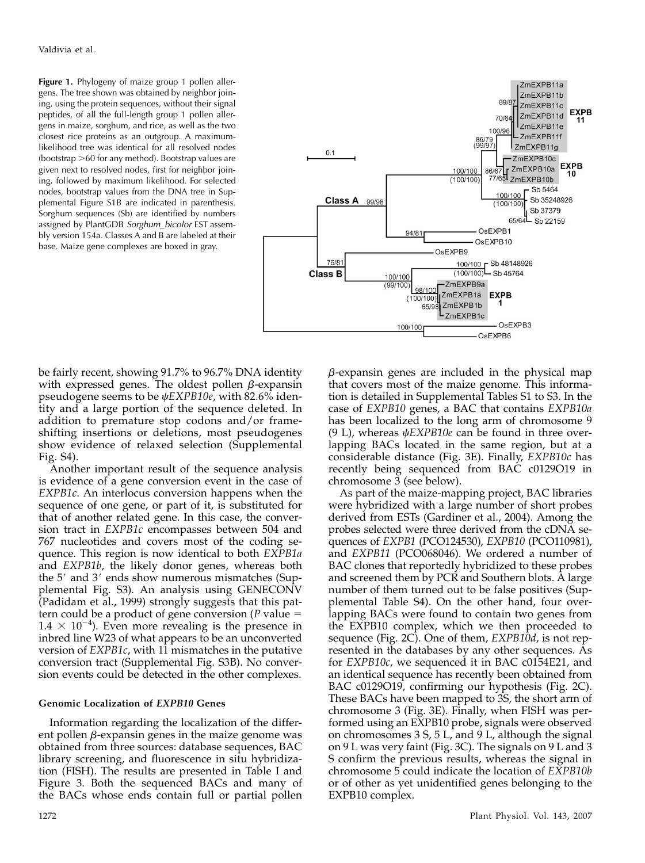Figure 1. Phylogeny of maize group 1 pollen allergens. The tree shown was obtained by neighbor joining, using the protein sequences, without their signal peptides, of all the full-length group 1 pollen allergens in maize, sorghum, and rice, as well as the two closest rice proteins as an outgroup. A maximumlikelihood tree was identical for all resolved nodes  $(bootstrap > 60$  for any method). Bootstrap values are given next to resolved nodes, first for neighbor joining, followed by maximum likelihood. For selected nodes, bootstrap values from the DNA tree in Supplemental Figure S1B are indicated in parenthesis. Sorghum sequences (Sb) are identified by numbers assigned by PlantGDB Sorghum\_bicolor EST assembly version 154a. Classes A and B are labeled at their base. Maize gene complexes are boxed in gray.



be fairly recent, showing 91.7% to 96.7% DNA identity with expressed genes. The oldest pollen  $\beta$ -expansin pseudogene seems to be  $\psi$ EXPB10e, with 82.6% identity and a large portion of the sequence deleted. In addition to premature stop codons and/or frameshifting insertions or deletions, most pseudogenes show evidence of relaxed selection (Supplemental Fig. S4).

Another important result of the sequence analysis is evidence of a gene conversion event in the case of EXPB1c. An interlocus conversion happens when the sequence of one gene, or part of it, is substituted for that of another related gene. In this case, the conversion tract in EXPB1c encompasses between 504 and 767 nucleotides and covers most of the coding sequence. This region is now identical to both EXPB1a and EXPB1b, the likely donor genes, whereas both the  $5'$  and  $3'$  ends show numerous mismatches (Supplemental Fig. S3). An analysis using GENECONV (Padidam et al., 1999) strongly suggests that this pattern could be a product of gene conversion (P value  $=$  $1.4 \times 10^{-4}$ ). Even more revealing is the presence in inbred line W23 of what appears to be an unconverted version of EXPB1c, with 11 mismatches in the putative conversion tract (Supplemental Fig. S3B). No conversion events could be detected in the other complexes.

#### Genomic Localization of EXPB10 Genes

Information regarding the localization of the different pollen  $\beta$ -expansin genes in the maize genome was obtained from three sources: database sequences, BAC library screening, and fluorescence in situ hybridization (FISH). The results are presented in Table I and Figure 3. Both the sequenced BACs and many of the BACs whose ends contain full or partial pollen

that covers most of the maize genome. This information is detailed in Supplemental Tables S1 to S3. In the case of EXPB10 genes, a BAC that contains EXPB10a has been localized to the long arm of chromosome 9 (9 L), whereas  $\psi$ EXPB10e can be found in three overlapping BACs located in the same region, but at a considerable distance (Fig. 3E). Finally, EXPB10c has recently being sequenced from BAC c0129O19 in chromosome 3 (see below). As part of the maize-mapping project, BAC libraries

 $\beta$ -expansin genes are included in the physical map

were hybridized with a large number of short probes derived from ESTs (Gardiner et al., 2004). Among the probes selected were three derived from the cDNA sequences of EXPB1 (PCO124530), EXPB10 (PCO110981), and EXPB11 (PCO068046). We ordered a number of BAC clones that reportedly hybridized to these probes and screened them by PCR and Southern blots. A large number of them turned out to be false positives (Supplemental Table S4). On the other hand, four overlapping BACs were found to contain two genes from the EXPB10 complex, which we then proceeded to sequence (Fig. 2C). One of them,  $EXPB10d$ , is not represented in the databases by any other sequences. As for EXPB10c, we sequenced it in BAC c0154E21, and an identical sequence has recently been obtained from BAC c0129O19, confirming our hypothesis (Fig. 2C). These BACs have been mapped to 3S, the short arm of chromosome 3 (Fig. 3E). Finally, when FISH was performed using an EXPB10 probe, signals were observed on chromosomes 3 S, 5 L, and 9 L, although the signal on 9 L was very faint (Fig. 3C). The signals on 9 L and 3 S confirm the previous results, whereas the signal in chromosome 5 could indicate the location of EXPB10b or of other as yet unidentified genes belonging to the EXPB10 complex.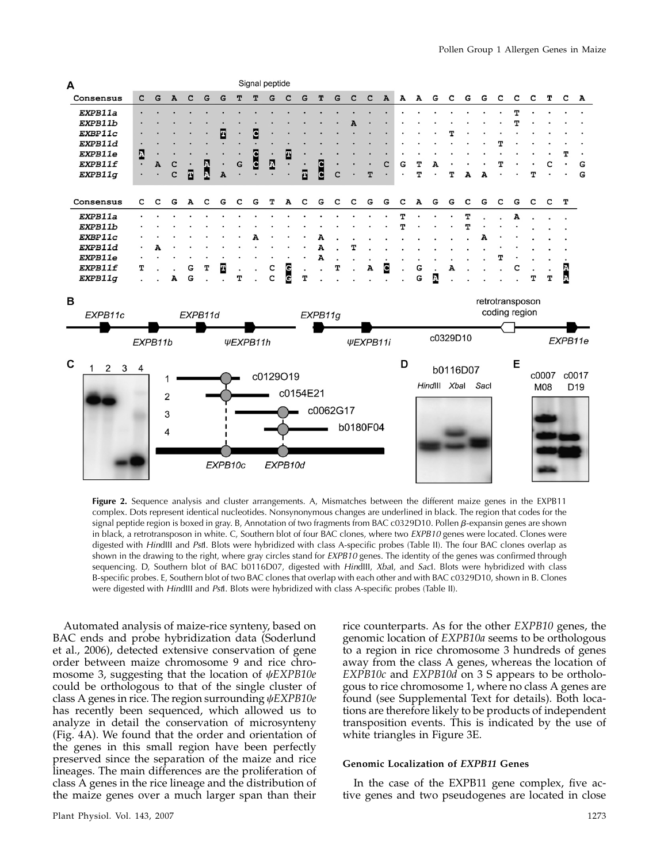

Figure 2. Sequence analysis and cluster arrangements. A, Mismatches between the different maize genes in the EXPB11 complex. Dots represent identical nucleotides. Nonsynonymous changes are underlined in black. The region that codes for the signal peptide region is boxed in gray. B, Annotation of two fragments from BAC c0329D10. Pollen  $\beta$ -expansin genes are shown in black, a retrotransposon in white. C, Southern blot of four BAC clones, where two EXPB10 genes were located. Clones were digested with HindIII and PstI. Blots were hybridized with class A-specific probes (Table II). The four BAC clones overlap as shown in the drawing to the right, where gray circles stand for EXPB10 genes. The identity of the genes was confirmed through sequencing. D, Southern blot of BAC b0116D07, digested with HindIII, XbaI, and Sacl. Blots were hybridized with class B-specific probes. E, Southern blot of two BAC clones that overlap with each other and with BAC c0329D10, shown in B. Clones were digested with HindIII and PstI. Blots were hybridized with class A-specific probes (Table II).

Automated analysis of maize-rice synteny, based on BAC ends and probe hybridization data (Soderlund et al., 2006), detected extensive conservation of gene order between maize chromosome 9 and rice chromosome 3, suggesting that the location of  $\psi$ EXPB10e could be orthologous to that of the single cluster of class A genes in rice. The region surrounding  $\psi$ EXPB10e has recently been sequenced, which allowed us to analyze in detail the conservation of microsynteny (Fig. 4A). We found that the order and orientation of the genes in this small region have been perfectly preserved since the separation of the maize and rice lineages. The main differences are the proliferation of class A genes in the rice lineage and the distribution of the maize genes over a much larger span than their

Plant Physiol. Vol. 143, 2007 1273

rice counterparts. As for the other EXPB10 genes, the genomic location of EXPB10a seems to be orthologous to a region in rice chromosome 3 hundreds of genes away from the class A genes, whereas the location of EXPB10c and EXPB10d on 3 S appears to be orthologous to rice chromosome 1, where no class A genes are found (see Supplemental Text for details). Both locations are therefore likely to be products of independent transposition events. This is indicated by the use of white triangles in Figure 3E.

## Genomic Localization of EXPB11 Genes

In the case of the EXPB11 gene complex, five active genes and two pseudogenes are located in close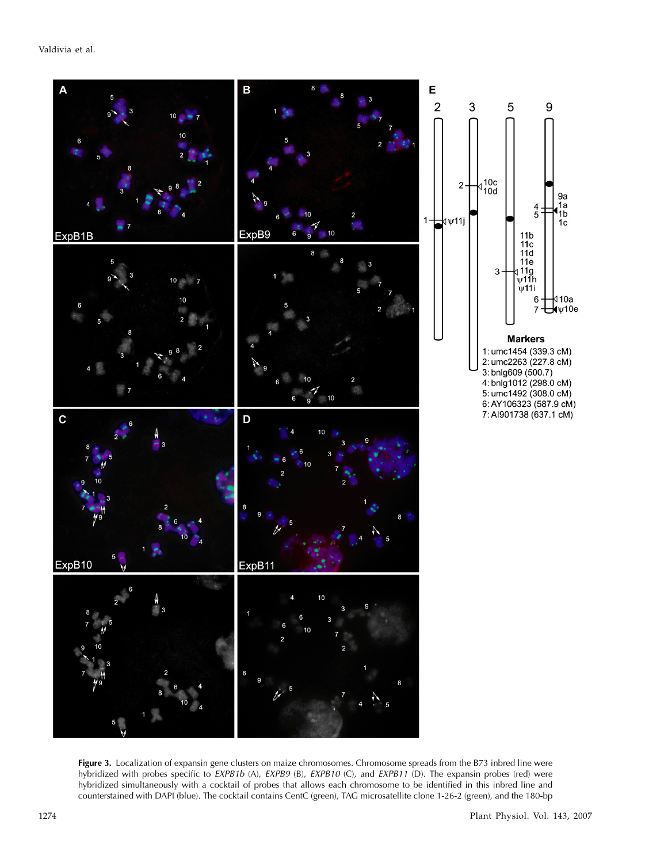

Figure 3. Localization of expansin gene clusters on maize chromosomes. Chromosome spreads from the B73 inbred line were hybridized with probes specific to EXPB1b (A), EXPB9 (B), EXPB10 (C), and EXPB11 (D). The expansin probes (red) were hybridized simultaneously with a cocktail of probes that allows each chromosome to be identified in this inbred line and counterstained with DAPI (blue). The cocktail contains CentC (green), TAG microsatellite clone 1-26-2 (green), and the 180-bp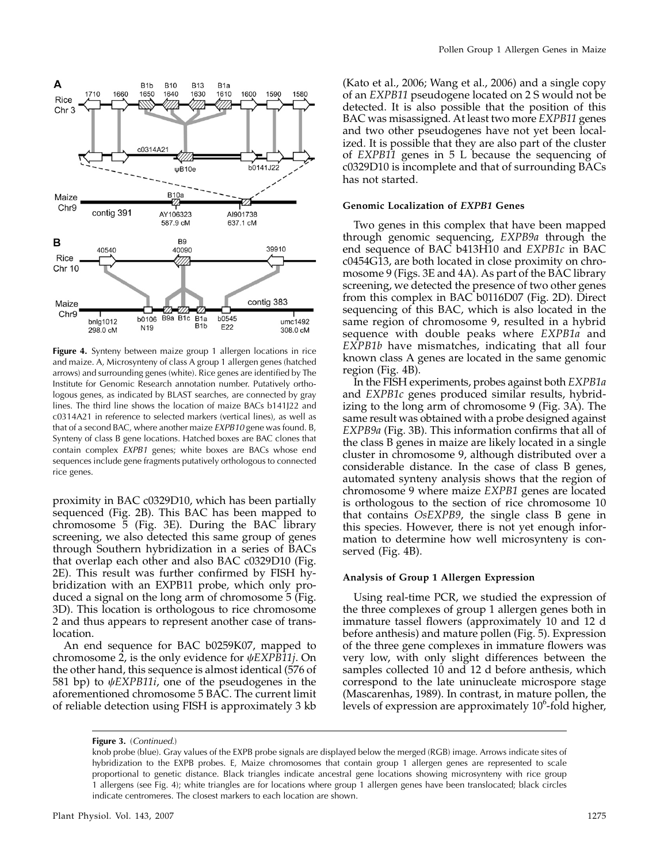

Figure 4. Synteny between maize group 1 allergen locations in rice and maize. A, Microsynteny of class A group 1 allergen genes (hatched arrows) and surrounding genes (white). Rice genes are identified by The Institute for Genomic Research annotation number. Putatively orthologous genes, as indicated by BLAST searches, are connected by gray lines. The third line shows the location of maize BACs b141J22 and c0314A21 in reference to selected markers (vertical lines), as well as that of a second BAC, where another maize EXPB10 gene was found. B, Synteny of class B gene locations. Hatched boxes are BAC clones that contain complex EXPB1 genes; white boxes are BACs whose end sequences include gene fragments putatively orthologous to connected rice genes.

proximity in BAC c0329D10, which has been partially sequenced (Fig. 2B). This BAC has been mapped to chromosome 5 (Fig. 3E). During the BAC library screening, we also detected this same group of genes through Southern hybridization in a series of BACs that overlap each other and also BAC c0329D10 (Fig. 2E). This result was further confirmed by FISH hybridization with an EXPB11 probe, which only produced a signal on the long arm of chromosome 5 (Fig. 3D). This location is orthologous to rice chromosome 2 and thus appears to represent another case of translocation.

An end sequence for BAC b0259K07, mapped to chromosome 2, is the only evidence for  $\psi$ EXPB11*j*. On the other hand, this sequence is almost identical (576 of 581 bp) to  $\psi$ EXPB11*i*, one of the pseudogenes in the aforementioned chromosome 5 BAC. The current limit of reliable detection using FISH is approximately 3 kb

(Kato et al., 2006; Wang et al., 2006) and a single copy of an EXPB11 pseudogene located on 2 S would not be detected. It is also possible that the position of this BAC was misassigned. At least two more EXPB11 genes and two other pseudogenes have not yet been localized. It is possible that they are also part of the cluster of EXPB11 genes in 5 L because the sequencing of c0329D10 is incomplete and that of surrounding BACs has not started.

## Genomic Localization of EXPB1 Genes

Two genes in this complex that have been mapped through genomic sequencing, EXPB9a through the end sequence of BAC b413H10 and EXPB1c in BAC c0454G13, are both located in close proximity on chromosome 9 (Figs. 3E and 4A). As part of the BAC library screening, we detected the presence of two other genes from this complex in BAC b0116D07 (Fig. 2D). Direct sequencing of this BAC, which is also located in the same region of chromosome 9, resulted in a hybrid sequence with double peaks where EXPB1a and EXPB1b have mismatches, indicating that all four known class A genes are located in the same genomic region (Fig. 4B).

In the FISH experiments, probes against both EXPB1a and EXPB1c genes produced similar results, hybridizing to the long arm of chromosome 9 (Fig. 3A). The same result was obtained with a probe designed against EXPB9a (Fig. 3B). This information confirms that all of the class B genes in maize are likely located in a single cluster in chromosome 9, although distributed over a considerable distance. In the case of class B genes, automated synteny analysis shows that the region of chromosome 9 where maize EXPB1 genes are located is orthologous to the section of rice chromosome 10 that contains OsEXPB9, the single class B gene in this species. However, there is not yet enough information to determine how well microsynteny is conserved (Fig. 4B).

#### Analysis of Group 1 Allergen Expression

Using real-time PCR, we studied the expression of the three complexes of group 1 allergen genes both in immature tassel flowers (approximately 10 and 12 d before anthesis) and mature pollen (Fig. 5). Expression of the three gene complexes in immature flowers was very low, with only slight differences between the samples collected 10 and 12 d before anthesis, which correspond to the late uninucleate microspore stage (Mascarenhas, 1989). In contrast, in mature pollen, the levels of expression are approximately  $10^6$ -fold higher,

Figure 3. (Continued.)

knob probe (blue). Gray values of the EXPB probe signals are displayed below the merged (RGB) image. Arrows indicate sites of hybridization to the EXPB probes. E, Maize chromosomes that contain group 1 allergen genes are represented to scale proportional to genetic distance. Black triangles indicate ancestral gene locations showing microsynteny with rice group 1 allergens (see Fig. 4); white triangles are for locations where group 1 allergen genes have been translocated; black circles indicate centromeres. The closest markers to each location are shown.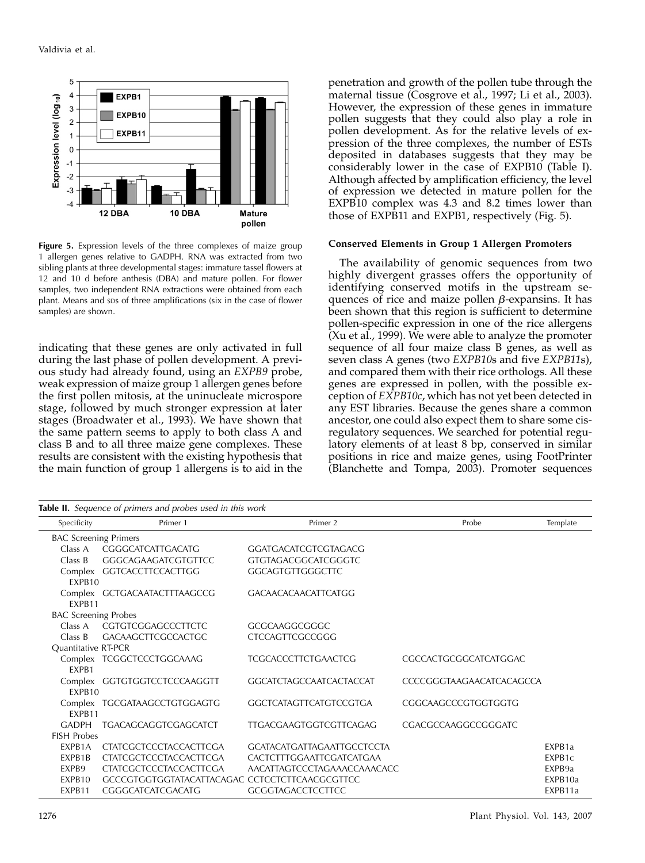

Figure 5. Expression levels of the three complexes of maize group 1 allergen genes relative to GADPH. RNA was extracted from two sibling plants at three developmental stages: immature tassel flowers at 12 and 10 d before anthesis (DBA) and mature pollen. For flower samples, two independent RNA extractions were obtained from each plant. Means and SDs of three amplifications (six in the case of flower samples) are shown.

indicating that these genes are only activated in full during the last phase of pollen development. A previous study had already found, using an EXPB9 probe, weak expression of maize group 1 allergen genes before the first pollen mitosis, at the uninucleate microspore stage, followed by much stronger expression at later stages (Broadwater et al., 1993). We have shown that the same pattern seems to apply to both class A and class B and to all three maize gene complexes. These results are consistent with the existing hypothesis that the main function of group 1 allergens is to aid in the penetration and growth of the pollen tube through the maternal tissue (Cosgrove et al., 1997; Li et al., 2003). However, the expression of these genes in immature pollen suggests that they could also play a role in pollen development. As for the relative levels of expression of the three complexes, the number of ESTs deposited in databases suggests that they may be considerably lower in the case of EXPB10 (Table I). Although affected by amplification efficiency, the level of expression we detected in mature pollen for the EXPB10 complex was 4.3 and 8.2 times lower than those of EXPB11 and EXPB1, respectively (Fig. 5).

## Conserved Elements in Group 1 Allergen Promoters

The availability of genomic sequences from two highly divergent grasses offers the opportunity of identifying conserved motifs in the upstream sequences of rice and maize pollen  $\beta$ -expansins. It has been shown that this region is sufficient to determine pollen-specific expression in one of the rice allergens (Xu et al., 1999). We were able to analyze the promoter sequence of all four maize class B genes, as well as seven class A genes (two EXPB10s and five EXPB11s), and compared them with their rice orthologs. All these genes are expressed in pollen, with the possible exception of EXPB10c, which has not yet been detected in any EST libraries. Because the genes share a common ancestor, one could also expect them to share some cisregulatory sequences. We searched for potential regulatory elements of at least 8 bp, conserved in similar positions in rice and maize genes, using FootPrinter (Blanchette and Tompa, 2003). Promoter sequences

| <b>Table II.</b> Sequence of primers and probes used in this work |                                                |                                   |                          |                    |  |  |  |  |
|-------------------------------------------------------------------|------------------------------------------------|-----------------------------------|--------------------------|--------------------|--|--|--|--|
| Specificity                                                       | Primer 1                                       | Primer 2                          | Probe                    | Template           |  |  |  |  |
| <b>BAC Screening Primers</b>                                      |                                                |                                   |                          |                    |  |  |  |  |
| Class A                                                           | CGGGCATCATTGACATG                              | <b>GGATGACATCGTCGTAGACG</b>       |                          |                    |  |  |  |  |
| Class B                                                           | <b>GGGCAGAAGATCGTGTTCC</b>                     | <b>GTGTAGACGGCATCGGGTC</b>        |                          |                    |  |  |  |  |
| FXPB <sub>10</sub>                                                | Complex GGTCACCTTCCACTTGG                      | <b>GGCAGTGTTGGGCTTC</b>           |                          |                    |  |  |  |  |
| FXPB11                                                            | Complex GCTGACAATACTTTAAGCCG                   | <b>GACAACACAACATTCATGG</b>        |                          |                    |  |  |  |  |
| <b>BAC Screening Probes</b>                                       |                                                |                                   |                          |                    |  |  |  |  |
| Class A                                                           | CGTGTCGGAGCCCTTCTC                             | GCGCAAGGCGGGC                     |                          |                    |  |  |  |  |
| Class B                                                           | <b>GACAAGCTTCGCCACTGC</b>                      | <b>CTCCAGTTCGCCGGG</b>            |                          |                    |  |  |  |  |
| Quantitative RT-PCR                                               |                                                |                                   |                          |                    |  |  |  |  |
|                                                                   | Complex TCGGCTCCCTGGCAAAG                      | TCGCACCCTTCTGAACTCG               | CGCCACTGCGGCATCATGGAC    |                    |  |  |  |  |
| <b>FXPB1</b>                                                      |                                                |                                   |                          |                    |  |  |  |  |
| FXPB10                                                            | Complex GGTGTGGTCCTCCCAAGGTT                   | <b>GGCATCTAGCCAATCACTACCAT</b>    | CCCCGGGTAAGAACATCACAGCCA |                    |  |  |  |  |
| Complex                                                           | TGCGATAAGCCTGTGGAGTG                           | <b>GGCTCATAGTTCATGTCCGTGA</b>     | CGGCAAGCCCGTGGTGGTG      |                    |  |  |  |  |
| FXPB11                                                            |                                                |                                   |                          |                    |  |  |  |  |
| <b>GADPH</b>                                                      | <b>TGACAGCAGGTCGAGCATCT</b>                    | <b>TTGACGAAGTGGTCGTTCAGAG</b>     | CGACGCCAAGGCCGGGATC      |                    |  |  |  |  |
| <b>FISH Probes</b>                                                |                                                |                                   |                          |                    |  |  |  |  |
| <b>FXPB1A</b>                                                     | <b>CTATCGCTCCCTACCACTTCGA</b>                  | <b>GCATACATGATTAGAATTGCCTCCTA</b> |                          | EXPB <sub>1a</sub> |  |  |  |  |
| <b>FXPB1B</b>                                                     | <b>CTATCGCTCCCTACCACTTCGA</b>                  | CACTCTTTGGAATTCGATCATGAA          |                          | EXPB1c             |  |  |  |  |
| EXPB9                                                             | <b>CTATCGCTCCCTACCACTTCGA</b>                  | AACATTAGTCCCTAGAAACCAAACACC       |                          | EXPB9a             |  |  |  |  |
| FXPB10                                                            | GCCCGTGGTGGTATACATTACAGAC CCTCCTCTTCAACGCGTTCC |                                   |                          | FXPB10a            |  |  |  |  |
| EXPB11                                                            | CGGGCATCATCGACATG                              | <b>GCGGTAGACCTCCTTCC</b>          |                          | EXPB11a            |  |  |  |  |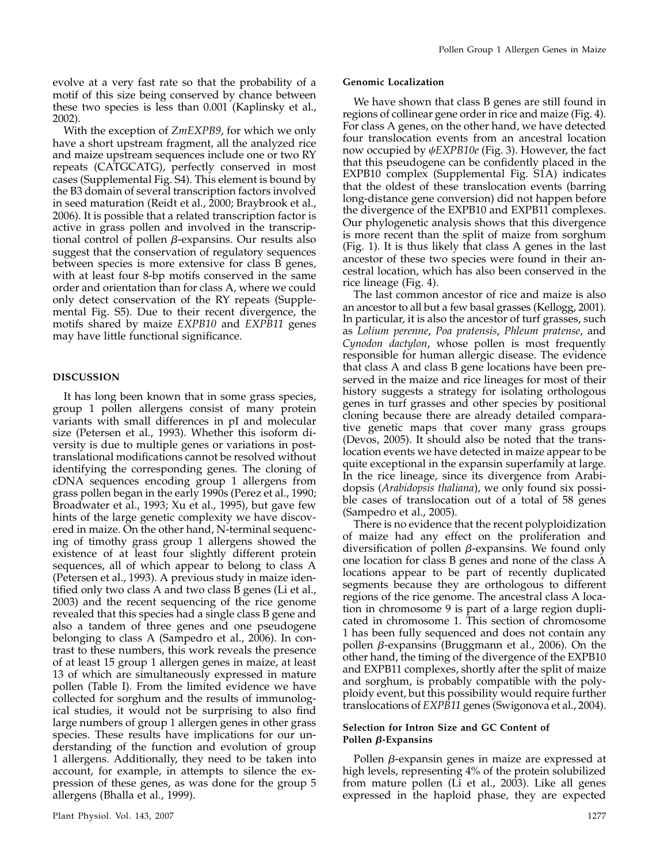evolve at a very fast rate so that the probability of a motif of this size being conserved by chance between these two species is less than 0.001 (Kaplinsky et al., 2002).

With the exception of  $ZmEXPB9$ , for which we only have a short upstream fragment, all the analyzed rice and maize upstream sequences include one or two RY repeats (CATGCATG), perfectly conserved in most cases (Supplemental Fig. S4). This element is bound by the B3 domain of several transcription factors involved in seed maturation (Reidt et al., 2000; Braybrook et al., 2006). It is possible that a related transcription factor is active in grass pollen and involved in the transcriptional control of pollen  $\beta$ -expansins. Our results also suggest that the conservation of regulatory sequences between species is more extensive for class B genes, with at least four 8-bp motifs conserved in the same order and orientation than for class A, where we could only detect conservation of the RY repeats (Supplemental Fig. S5). Due to their recent divergence, the motifs shared by maize EXPB10 and EXPB11 genes may have little functional significance.

# DISCUSSION

It has long been known that in some grass species, group 1 pollen allergens consist of many protein variants with small differences in pI and molecular size (Petersen et al., 1993). Whether this isoform diversity is due to multiple genes or variations in posttranslational modifications cannot be resolved without identifying the corresponding genes. The cloning of cDNA sequences encoding group 1 allergens from grass pollen began in the early 1990s (Perez et al., 1990; Broadwater et al., 1993; Xu et al., 1995), but gave few hints of the large genetic complexity we have discovered in maize. On the other hand, N-terminal sequencing of timothy grass group 1 allergens showed the existence of at least four slightly different protein sequences, all of which appear to belong to class A (Petersen et al., 1993). A previous study in maize identified only two class A and two class B genes (Li et al., 2003) and the recent sequencing of the rice genome revealed that this species had a single class B gene and also a tandem of three genes and one pseudogene belonging to class A (Sampedro et al., 2006). In contrast to these numbers, this work reveals the presence of at least 15 group 1 allergen genes in maize, at least 13 of which are simultaneously expressed in mature pollen (Table I). From the limited evidence we have collected for sorghum and the results of immunological studies, it would not be surprising to also find large numbers of group 1 allergen genes in other grass species. These results have implications for our understanding of the function and evolution of group 1 allergens. Additionally, they need to be taken into account, for example, in attempts to silence the expression of these genes, as was done for the group 5 allergens (Bhalla et al., 1999).

## Genomic Localization

We have shown that class B genes are still found in regions of collinear gene order in rice and maize (Fig. 4). For class A genes, on the other hand, we have detected four translocation events from an ancestral location now occupied by  $\psi$ EXPB10e (Fig. 3). However, the fact that this pseudogene can be confidently placed in the EXPB10 complex (Supplemental Fig. S1A) indicates that the oldest of these translocation events (barring long-distance gene conversion) did not happen before the divergence of the EXPB10 and EXPB11 complexes. Our phylogenetic analysis shows that this divergence is more recent than the split of maize from sorghum (Fig. 1). It is thus likely that class A genes in the last ancestor of these two species were found in their ancestral location, which has also been conserved in the rice lineage (Fig. 4).

The last common ancestor of rice and maize is also an ancestor to all but a few basal grasses (Kellogg, 2001). In particular, it is also the ancestor of turf grasses, such as Lolium perenne, Poa pratensis, Phleum pratense, and Cynodon dactylon, whose pollen is most frequently responsible for human allergic disease. The evidence that class A and class B gene locations have been preserved in the maize and rice lineages for most of their history suggests a strategy for isolating orthologous genes in turf grasses and other species by positional cloning because there are already detailed comparative genetic maps that cover many grass groups (Devos, 2005). It should also be noted that the translocation events we have detected in maize appear to be quite exceptional in the expansin superfamily at large. In the rice lineage, since its divergence from Arabidopsis (Arabidopsis thaliana), we only found six possible cases of translocation out of a total of 58 genes (Sampedro et al., 2005).

There is no evidence that the recent polyploidization of maize had any effect on the proliferation and diversification of pollen  $\beta$ -expansins. We found only one location for class B genes and none of the class A locations appear to be part of recently duplicated segments because they are orthologous to different regions of the rice genome. The ancestral class A location in chromosome 9 is part of a large region duplicated in chromosome 1. This section of chromosome 1 has been fully sequenced and does not contain any pollen  $\beta$ -expansins (Bruggmann et al., 2006). On the other hand, the timing of the divergence of the EXPB10 and EXPB11 complexes, shortly after the split of maize and sorghum, is probably compatible with the polyploidy event, but this possibility would require further translocations of EXPB11 genes (Swigonova et al., 2004).

## Selection for Intron Size and GC Content of Pollen  $\beta$ -Expansins

Pollen  $\beta$ -expansin genes in maize are expressed at high levels, representing 4% of the protein solubilized from mature pollen (Li et al., 2003). Like all genes expressed in the haploid phase, they are expected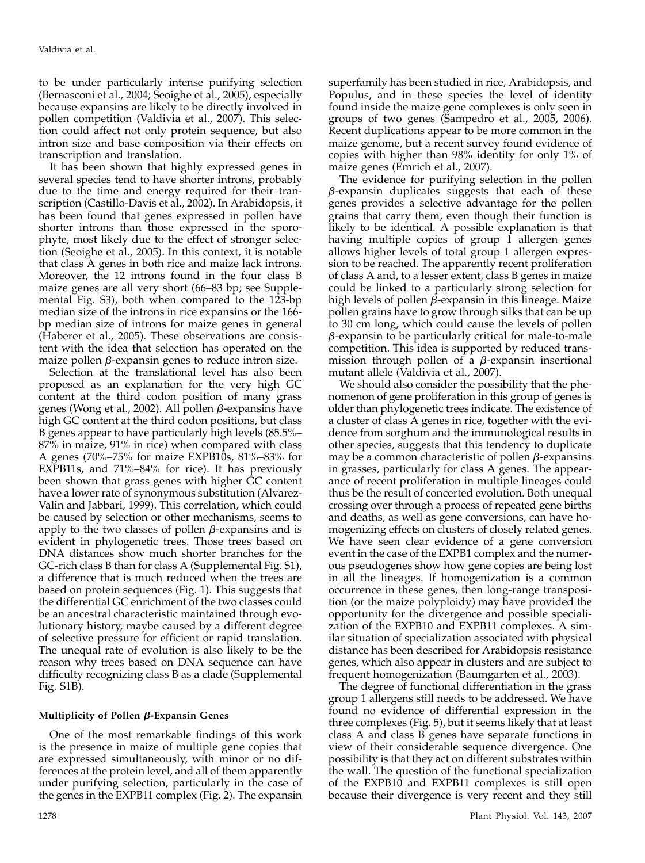to be under particularly intense purifying selection (Bernasconi et al., 2004; Seoighe et al., 2005), especially because expansins are likely to be directly involved in pollen competition (Valdivia et al., 2007). This selection could affect not only protein sequence, but also intron size and base composition via their effects on transcription and translation.

It has been shown that highly expressed genes in several species tend to have shorter introns, probably due to the time and energy required for their transcription (Castillo-Davis et al., 2002). In Arabidopsis, it has been found that genes expressed in pollen have shorter introns than those expressed in the sporophyte, most likely due to the effect of stronger selection (Seoighe et al., 2005). In this context, it is notable that class A genes in both rice and maize lack introns. Moreover, the 12 introns found in the four class B maize genes are all very short (66–83 bp; see Supplemental Fig. S3), both when compared to the 123-bp median size of the introns in rice expansins or the 166 bp median size of introns for maize genes in general (Haberer et al., 2005). These observations are consistent with the idea that selection has operated on the maize pollen  $\beta$ -expansin genes to reduce intron size.

Selection at the translational level has also been proposed as an explanation for the very high GC content at the third codon position of many grass genes (Wong et al., 2002). All pollen  $\beta$ -expansins have high GC content at the third codon positions, but class B genes appear to have particularly high levels (85.5%– 87% in maize, 91% in rice) when compared with class A genes (70%–75% for maize EXPB10s, 81%–83% for EXPB11s, and 71%–84% for rice). It has previously been shown that grass genes with higher GC content have a lower rate of synonymous substitution (Alvarez-Valin and Jabbari, 1999). This correlation, which could be caused by selection or other mechanisms, seems to apply to the two classes of pollen  $\beta$ -expansins and is evident in phylogenetic trees. Those trees based on DNA distances show much shorter branches for the GC-rich class B than for class A (Supplemental Fig. S1), a difference that is much reduced when the trees are based on protein sequences (Fig. 1). This suggests that the differential GC enrichment of the two classes could be an ancestral characteristic maintained through evolutionary history, maybe caused by a different degree of selective pressure for efficient or rapid translation. The unequal rate of evolution is also likely to be the reason why trees based on DNA sequence can have difficulty recognizing class B as a clade (Supplemental Fig. S1B).

# Multiplicity of Pollen  $\beta$ -Expansin Genes

One of the most remarkable findings of this work is the presence in maize of multiple gene copies that are expressed simultaneously, with minor or no differences at the protein level, and all of them apparently under purifying selection, particularly in the case of the genes in the EXPB11 complex (Fig. 2). The expansin

superfamily has been studied in rice, Arabidopsis, and Populus, and in these species the level of identity found inside the maize gene complexes is only seen in groups of two genes (Sampedro et al., 2005, 2006). Recent duplications appear to be more common in the maize genome, but a recent survey found evidence of copies with higher than 98% identity for only 1% of maize genes (Emrich et al., 2007).

The evidence for purifying selection in the pollen  $\beta$ -expansin duplicates suggests that each of these genes provides a selective advantage for the pollen grains that carry them, even though their function is likely to be identical. A possible explanation is that having multiple copies of group  $\hat{1}$  allergen genes allows higher levels of total group 1 allergen expression to be reached. The apparently recent proliferation of class A and, to a lesser extent, class B genes in maize could be linked to a particularly strong selection for high levels of pollen  $\beta$ -expansin in this lineage. Maize pollen grains have to grow through silks that can be up to 30 cm long, which could cause the levels of pollen  $\beta$ -expansin to be particularly critical for male-to-male competition. This idea is supported by reduced transmission through pollen of a  $\beta$ -expansin insertional mutant allele (Valdivia et al., 2007).

We should also consider the possibility that the phenomenon of gene proliferation in this group of genes is older than phylogenetic trees indicate. The existence of a cluster of class A genes in rice, together with the evidence from sorghum and the immunological results in other species, suggests that this tendency to duplicate may be a common characteristic of pollen  $\beta$ -expansins in grasses, particularly for class A genes. The appearance of recent proliferation in multiple lineages could thus be the result of concerted evolution. Both unequal crossing over through a process of repeated gene births and deaths, as well as gene conversions, can have homogenizing effects on clusters of closely related genes. We have seen clear evidence of a gene conversion event in the case of the EXPB1 complex and the numerous pseudogenes show how gene copies are being lost in all the lineages. If homogenization is a common occurrence in these genes, then long-range transposition (or the maize polyploidy) may have provided the opportunity for the divergence and possible specialization of the EXPB10 and EXPB11 complexes. A similar situation of specialization associated with physical distance has been described for Arabidopsis resistance genes, which also appear in clusters and are subject to frequent homogenization (Baumgarten et al., 2003).

The degree of functional differentiation in the grass group 1 allergens still needs to be addressed. We have found no evidence of differential expression in the three complexes (Fig. 5), but it seems likely that at least class A and class B genes have separate functions in view of their considerable sequence divergence. One possibility is that they act on different substrates within the wall. The question of the functional specialization of the EXPB10 and EXPB11 complexes is still open because their divergence is very recent and they still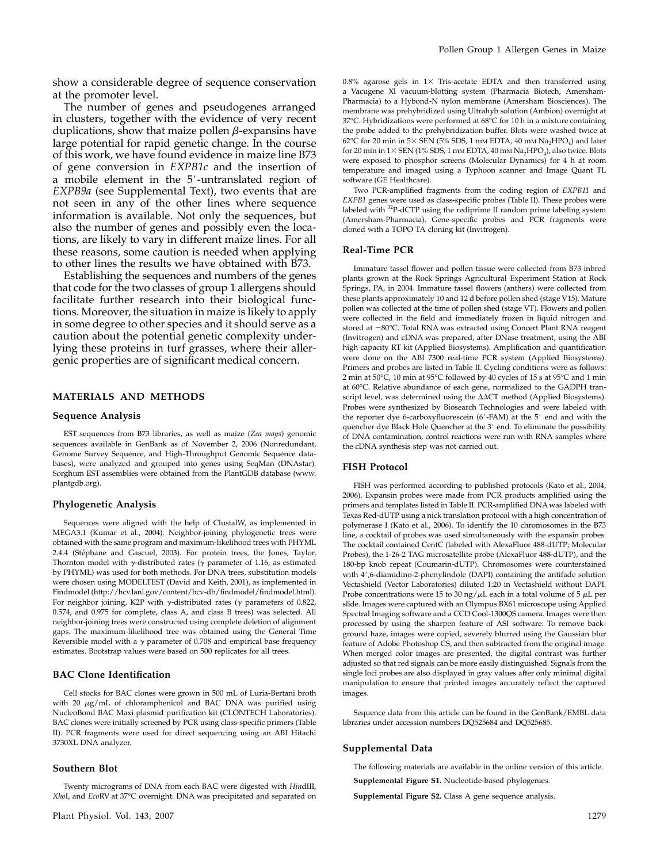show a considerable degree of sequence conservation at the promoter level.

The number of genes and pseudogenes arranged in clusters, together with the evidence of very recent duplications, show that maize pollen  $\beta$ -expansins have large potential for rapid genetic change. In the course of this work, we have found evidence in maize line B73 of gene conversion in EXPB1c and the insertion of a mobile element in the 5'-untranslated region of EXPB9a (see Supplemental Text), two events that are not seen in any of the other lines where sequence information is available. Not only the sequences, but also the number of genes and possibly even the locations, are likely to vary in different maize lines. For all these reasons, some caution is needed when applying to other lines the results we have obtained with B73.

Establishing the sequences and numbers of the genes that code for the two classes of group 1 allergens should facilitate further research into their biological functions. Moreover, the situation in maize is likely to apply in some degree to other species and it should serve as a caution about the potential genetic complexity underlying these proteins in turf grasses, where their allergenic properties are of significant medical concern.

## MATERIALS AND METHODS

#### Sequence Analysis

EST sequences from B73 libraries, as well as maize (Zea mays) genomic sequences available in GenBank as of November 2, 2006 (Nonredundant, Genome Survey Sequence, and High-Throughput Genomic Sequence databases), were analyzed and grouped into genes using SeqMan (DNAstar). Sorghum EST assemblies were obtained from the PlantGDB database (www. plantgdb.org).

#### Phylogenetic Analysis

Sequences were aligned with the help of ClustalW, as implemented in MEGA3.1 (Kumar et al., 2004). Neighbor-joining phylogenetic trees were obtained with the same program and maximum-likelihood trees with PHYML 2.4.4 (Stéphane and Gascuel, 2003). For protein trees, the Jones, Taylor, Thornton model with  $\gamma$ -distributed rates ( $\gamma$  parameter of 1.16, as estimated by PHYML) was used for both methods. For DNA trees, substitution models were chosen using MODELTEST (David and Keith, 2001), as implemented in Findmodel (http://hcv.lanl.gov/content/hcv-db/findmodel/findmodel.html). For neighbor joining, K2P with  $\gamma$ -distributed rates ( $\gamma$  parameters of 0.822, 0.574, and 0.975 for complete, class A, and class B trees) was selected. All neighbor-joining trees were constructed using complete deletion of alignment gaps. The maximum-likelihood tree was obtained using the General Time Reversible model with a  $\gamma$  parameter of 0.708 and empirical base frequency estimates. Bootstrap values were based on 500 replicates for all trees.

# BAC Clone Identification

Cell stocks for BAC clones were grown in 500 mL of Luria-Bertani broth with 20  $\mu$ g/mL of chloramphenicol and BAC DNA was purified using NucleoBond BAC Maxi plasmid purification kit (CLONTECH Laboratories). BAC clones were initially screened by PCR using class-specific primers (Table II). PCR fragments were used for direct sequencing using an ABI Hitachi 3730XL DNA analyzer.

Twenty micrograms of DNA from each BAC were digested with HindIII, XhoI, and EcoRV at 37°C overnight. DNA was precipitated and separated on

## Southern Blot

0.8% agarose gels in  $1\times$  Tris-acetate EDTA and then transferred using a Vacugene Xl vacuum-blotting system (Pharmacia Biotech, Amersham-Pharmacia) to a Hybond-N nylon membrane (Amersham Biosciences). The membrane was prehybridized using Ultrahyb solution (Ambion) overnight at 37°C. Hybridizations were performed at 68°C for 10 h in a mixture containing the probe added to the prehybridization buffer. Blots were washed twice at 62°C for 20 min in 5× SEN (5% SDS, 1 mm EDTA, 40 mm Na<sub>2</sub>HPO<sub>4</sub>) and later for 20 min in  $1 \times$  SEN (1% SDS, 1 mm EDTA, 40 mm Na<sub>2</sub>HPO<sub>4</sub>), also twice. Blots were exposed to phosphor screens (Molecular Dynamics) for 4 h at room temperature and imaged using a Typhoon scanner and Image Quant TL software (GE Healthcare).

Two PCR-amplified fragments from the coding region of EXPB11 and EXPB1 genes were used as class-specific probes (Table II). These probes were labeled with 32P-dCTP using the rediprime II random prime labeling system (Amersham-Pharmacia). Gene-specific probes and PCR fragments were cloned with a TOPO TA cloning kit (Invitrogen).

#### Real-Time PCR

Immature tassel flower and pollen tissue were collected from B73 inbred plants grown at the Rock Springs Agricultural Experiment Station at Rock Springs, PA, in 2004. Immature tassel flowers (anthers) were collected from these plants approximately 10 and 12 d before pollen shed (stage V15). Mature pollen was collected at the time of pollen shed (stage VT). Flowers and pollen were collected in the field and immediately frozen in liquid nitrogen and stored at -80°C. Total RNA was extracted using Concert Plant RNA reagent (Invitrogen) and cDNA was prepared, after DNase treatment, using the ABI high capacity RT kit (Applied Biosystems). Amplification and quantification were done on the ABI 7300 real-time PCR system (Applied Biosystems). Primers and probes are listed in Table II. Cycling conditions were as follows: 2 min at 50°C, 10 min at 95°C followed by 40 cycles of 15 s at 95°C and 1 min at 60°C. Relative abundance of each gene, normalized to the GADPH transcript level, was determined using the  $\Delta\Delta CT$  method (Applied Biosystems). Probes were synthesized by Biosearch Technologies and were labeled with the reporter dye 6-carboxyfluorescein (6'-FAM) at the  $5'$  end and with the quencher dye Black Hole Quencher at the 3' end. To eliminate the possibility of DNA contamination, control reactions were run with RNA samples where the cDNA synthesis step was not carried out.

## FISH Protocol

FISH was performed according to published protocols (Kato et al., 2004, 2006). Expansin probes were made from PCR products amplified using the primers and templates listed in Table II. PCR-amplified DNAwas labeled with Texas Red-dUTP using a nick translation protocol with a high concentration of polymerase I (Kato et al., 2006). To identify the 10 chromosomes in the B73 line, a cocktail of probes was used simultaneously with the expansin probes. The cocktail contained CentC (labeled with AlexaFluor 488-dUTP; Molecular Probes), the 1-26-2 TAG microsatellite probe (AlexaFluor 488-dUTP), and the 180-bp knob repeat (Coumarin-dUTP). Chromosomes were counterstained with 4',6-diamidino-2-phenylindole (DAPI) containing the antifade solution Vectashield (Vector Laboratories) diluted 1:20 in Vectashield without DAPI. Probe concentrations were 15 to 30 ng/ $\mu$ L each in a total volume of 5  $\mu$ L per slide. Images were captured with an Olympus BX61 microscope using Applied Spectral Imaging software and a CCD Cool-1300QS camera. Images were then processed by using the sharpen feature of ASI software. To remove background haze, images were copied, severely blurred using the Gaussian blur feature of Adobe Photoshop CS, and then subtracted from the original image. When merged color images are presented, the digital contrast was further adjusted so that red signals can be more easily distinguished. Signals from the single loci probes are also displayed in gray values after only minimal digital manipulation to ensure that printed images accurately reflect the captured images.

Sequence data from this article can be found in the GenBank/EMBL data libraries under accession numbers DQ525684 and DQ525685.

#### Supplemental Data

The following materials are available in the online version of this article.

Supplemental Figure S1. Nucleotide-based phylogenies.

Supplemental Figure S2. Class A gene sequence analysis.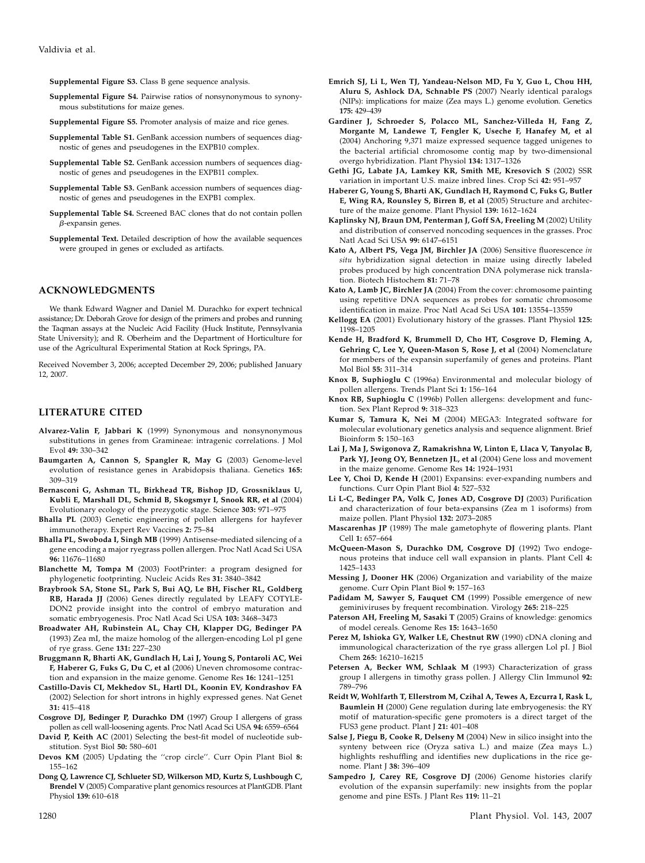Supplemental Figure S3. Class B gene sequence analysis.

- Supplemental Figure S4. Pairwise ratios of nonsynonymous to synonymous substitutions for maize genes.
- Supplemental Figure S5. Promoter analysis of maize and rice genes.
- Supplemental Table S1. GenBank accession numbers of sequences diagnostic of genes and pseudogenes in the EXPB10 complex.
- Supplemental Table S2. GenBank accession numbers of sequences diagnostic of genes and pseudogenes in the EXPB11 complex.
- Supplemental Table S3. GenBank accession numbers of sequences diagnostic of genes and pseudogenes in the EXPB1 complex.
- Supplemental Table S4. Screened BAC clones that do not contain pollen  $\beta$ -expansin genes.
- Supplemental Text. Detailed description of how the available sequences were grouped in genes or excluded as artifacts.

#### ACKNOWLEDGMENTS

We thank Edward Wagner and Daniel M. Durachko for expert technical assistance; Dr. Deborah Grove for design of the primers and probes and running the Taqman assays at the Nucleic Acid Facility (Huck Institute, Pennsylvania State University); and R. Oberheim and the Department of Horticulture for use of the Agricultural Experimental Station at Rock Springs, PA.

Received November 3, 2006; accepted December 29, 2006; published January 12, 2007.

## LITERATURE CITED

- Alvarez-Valin F, Jabbari K (1999) Synonymous and nonsynonymous substitutions in genes from Gramineae: intragenic correlations. J Mol Evol 49: 330–342
- Baumgarten A, Cannon S, Spangler R, May G (2003) Genome-level evolution of resistance genes in Arabidopsis thaliana. Genetics 165: 309–319
- Bernasconi G, Ashman TL, Birkhead TR, Bishop JD, Grossniklaus U, Kubli E, Marshall DL, Schmid B, Skogsmyr I, Snook RR, et al (2004) Evolutionary ecology of the prezygotic stage. Science 303: 971–975
- Bhalla PL (2003) Genetic engineering of pollen allergens for hayfever immunotherapy. Expert Rev Vaccines 2: 75–84
- Bhalla PL, Swoboda I, Singh MB (1999) Antisense-mediated silencing of a gene encoding a major ryegrass pollen allergen. Proc Natl Acad Sci USA 96: 11676–11680
- Blanchette M, Tompa M (2003) FootPrinter: a program designed for phylogenetic footprinting. Nucleic Acids Res 31: 3840–3842
- Braybrook SA, Stone SL, Park S, Bui AQ, Le BH, Fischer RL, Goldberg RB, Harada JJ (2006) Genes directly regulated by LEAFY COTYLE-DON2 provide insight into the control of embryo maturation and somatic embryogenesis. Proc Natl Acad Sci USA 103: 3468–3473
- Broadwater AH, Rubinstein AL, Chay CH, Klapper DG, Bedinger PA (1993) Zea mI, the maize homolog of the allergen-encoding Lol pI gene of rye grass. Gene 131: 227–230
- Bruggmann R, Bharti AK, Gundlach H, Lai J, Young S, Pontaroli AC, Wei F, Haberer G, Fuks G, Du C, et al (2006) Uneven chromosome contraction and expansion in the maize genome. Genome Res 16: 1241–1251
- Castillo-Davis CI, Mekhedov SL, Hartl DL, Koonin EV, Kondrashov FA (2002) Selection for short introns in highly expressed genes. Nat Genet 31: 415–418
- Cosgrove DJ, Bedinger P, Durachko DM (1997) Group I allergens of grass pollen as cell wall-loosening agents. Proc Natl Acad Sci USA 94: 6559–6564
- David P, Keith AC (2001) Selecting the best-fit model of nucleotide substitution. Syst Biol 50: 580–601
- Devos KM (2005) Updating the ''crop circle''. Curr Opin Plant Biol 8: 155–162
- Dong Q, Lawrence CJ, Schlueter SD, Wilkerson MD, Kurtz S, Lushbough C, Brendel V (2005) Comparative plant genomics resources at PlantGDB. Plant Physiol 139: 610–618
- Emrich SJ, Li L, Wen TJ, Yandeau-Nelson MD, Fu Y, Guo L, Chou HH, Aluru S, Ashlock DA, Schnable PS (2007) Nearly identical paralogs (NIPs): implications for maize (Zea mays L.) genome evolution. Genetics 175: 429–439
- Gardiner J, Schroeder S, Polacco ML, Sanchez-Villeda H, Fang Z, Morgante M, Landewe T, Fengler K, Useche F, Hanafey M, et al (2004) Anchoring 9,371 maize expressed sequence tagged unigenes to the bacterial artificial chromosome contig map by two-dimensional overgo hybridization. Plant Physiol 134: 1317–1326
- Gethi JG, Labate JA, Lamkey KR, Smith ME, Kresovich S (2002) SSR variation in important U.S. maize inbred lines. Crop Sci 42: 951–957
- Haberer G, Young S, Bharti AK, Gundlach H, Raymond C, Fuks G, Butler E, Wing RA, Rounsley S, Birren B, et al (2005) Structure and architecture of the maize genome. Plant Physiol 139: 1612–1624
- Kaplinsky NJ, Braun DM, Penterman J, Goff SA, Freeling M (2002) Utility and distribution of conserved noncoding sequences in the grasses. Proc Natl Acad Sci USA 99: 6147–6151
- Kato A, Albert PS, Vega JM, Birchler JA (2006) Sensitive fluorescence in situ hybridization signal detection in maize using directly labeled probes produced by high concentration DNA polymerase nick translation. Biotech Histochem 81: 71–78
- Kato A, Lamb JC, Birchler JA (2004) From the cover: chromosome painting using repetitive DNA sequences as probes for somatic chromosome identification in maize. Proc Natl Acad Sci USA 101: 13554–13559
- Kellogg EA (2001) Evolutionary history of the grasses. Plant Physiol 125: 1198–1205
- Kende H, Bradford K, Brummell D, Cho HT, Cosgrove D, Fleming A, Gehring C, Lee Y, Queen-Mason S, Rose J, et al (2004) Nomenclature for members of the expansin superfamily of genes and proteins. Plant Mol Biol 55: 311–314
- Knox B, Suphioglu C (1996a) Environmental and molecular biology of pollen allergens. Trends Plant Sci 1: 156–164
- Knox RB, Suphioglu C (1996b) Pollen allergens: development and function. Sex Plant Reprod 9: 318–323
- Kumar S, Tamura K, Nei M (2004) MEGA3: Integrated software for molecular evolutionary genetics analysis and sequence alignment. Brief Bioinform 5: 150–163
- Lai J, Ma J, Swigonova Z, Ramakrishna W, Linton E, Llaca V, Tanyolac B, Park YJ, Jeong OY, Bennetzen JL, et al (2004) Gene loss and movement in the maize genome. Genome Res 14: 1924–1931
- Lee Y, Choi D, Kende H (2001) Expansins: ever-expanding numbers and functions. Curr Opin Plant Biol 4: 527–532
- Li L-C, Bedinger PA, Volk C, Jones AD, Cosgrove DJ (2003) Purification and characterization of four beta-expansins (Zea m 1 isoforms) from maize pollen. Plant Physiol 132: 2073–2085
- Mascarenhas JP (1989) The male gametophyte of flowering plants. Plant Cell 1: 657–664
- McQueen-Mason S, Durachko DM, Cosgrove DJ (1992) Two endogenous proteins that induce cell wall expansion in plants. Plant Cell 4: 1425–1433
- Messing J, Dooner HK (2006) Organization and variability of the maize genome. Curr Opin Plant Biol 9: 157–163
- Padidam M, Sawyer S, Fauquet CM (1999) Possible emergence of new geminiviruses by frequent recombination. Virology 265: 218–225
- Paterson AH, Freeling M, Sasaki T (2005) Grains of knowledge: genomics of model cereals. Genome Res 15: 1643–1650
- Perez M, Ishioka GY, Walker LE, Chestnut RW (1990) cDNA cloning and immunological characterization of the rye grass allergen Lol pI. J Biol Chem 265: 16210–16215
- Petersen A, Becker WM, Schlaak M (1993) Characterization of grass group I allergens in timothy grass pollen. J Allergy Clin Immunol 92: 789–796
- Reidt W, Wohlfarth T, Ellerstrom M, Czihal A, Tewes A, Ezcurra I, Rask L, Baumlein H (2000) Gene regulation during late embryogenesis: the RY motif of maturation-specific gene promoters is a direct target of the FUS3 gene product. Plant J 21: 401–408
- Salse J, Piegu B, Cooke R, Delseny M (2004) New in silico insight into the synteny between rice (Oryza sativa L.) and maize (Zea mays L.) highlights reshuffling and identifies new duplications in the rice genome. Plant J 38: 396–409
- Sampedro J, Carey RE, Cosgrove DJ (2006) Genome histories clarify evolution of the expansin superfamily: new insights from the poplar genome and pine ESTs. J Plant Res 119: 11–21